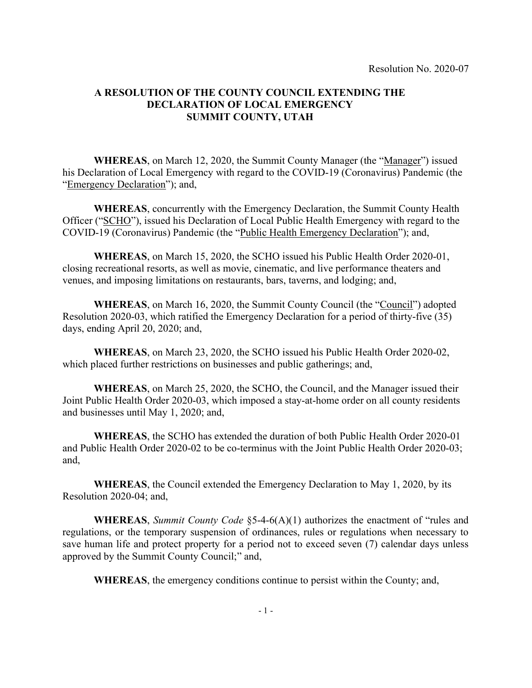## A RESOLUTION OF THE COUNTY COUNCIL EXTENDING THE DECLARATION OF LOCAL EMERGENCY SUMMIT COUNTY, UTAH

WHEREAS, on March 12, 2020, the Summit County Manager (the "Manager") issued his Declaration of Local Emergency with regard to the COVID-19 (Coronavirus) Pandemic (the "Emergency Declaration"); and,

WHEREAS, concurrently with the Emergency Declaration, the Summit County Health Officer ("SCHO"), issued his Declaration of Local Public Health Emergency with regard to the COVID-19 (Coronavirus) Pandemic (the "Public Health Emergency Declaration"); and,

WHEREAS, on March 15, 2020, the SCHO issued his Public Health Order 2020-01, closing recreational resorts, as well as movie, cinematic, and live performance theaters and venues, and imposing limitations on restaurants, bars, taverns, and lodging; and,

WHEREAS, on March 16, 2020, the Summit County Council (the "Council") adopted Resolution 2020-03, which ratified the Emergency Declaration for a period of thirty-five (35) days, ending April 20, 2020; and,

WHEREAS, on March 23, 2020, the SCHO issued his Public Health Order 2020-02, which placed further restrictions on businesses and public gatherings; and,

WHEREAS, on March 25, 2020, the SCHO, the Council, and the Manager issued their Joint Public Health Order 2020-03, which imposed a stay-at-home order on all county residents and businesses until May 1, 2020; and,

WHEREAS, the SCHO has extended the duration of both Public Health Order 2020-01 and Public Health Order 2020-02 to be co-terminus with the Joint Public Health Order 2020-03; and,

WHEREAS, the Council extended the Emergency Declaration to May 1, 2020, by its Resolution 2020-04; and,

WHEREAS, Summit County Code §5-4-6(A)(1) authorizes the enactment of "rules and regulations, or the temporary suspension of ordinances, rules or regulations when necessary to save human life and protect property for a period not to exceed seven (7) calendar days unless approved by the Summit County Council;" and,

WHEREAS, the emergency conditions continue to persist within the County; and,